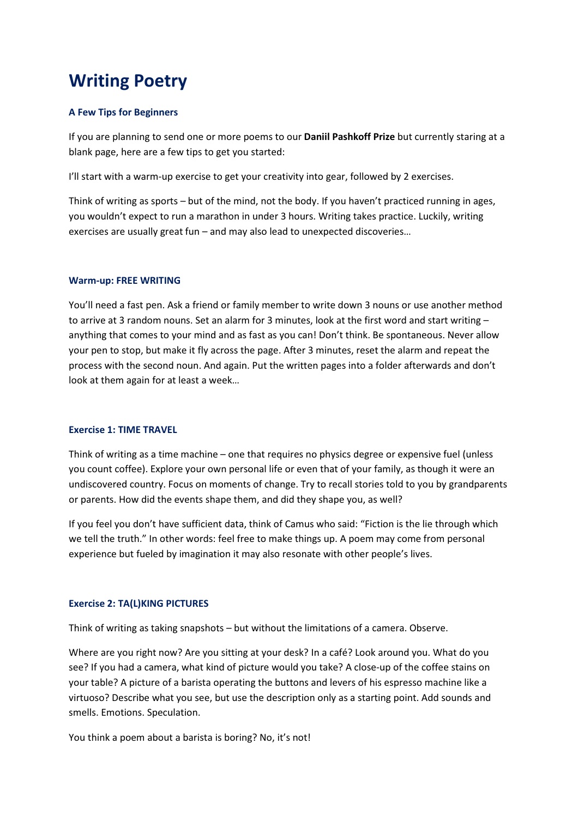# Writing Poetry

## A Few Tips for Beginners

If you are planning to send one or more poems to our Daniil Pashkoff Prize but currently staring at a blank page, here are a few tips to get you started:

I'll start with a warm-up exercise to get your creativity into gear, followed by 2 exercises.

Think of writing as sports – but of the mind, not the body. If you haven't practiced running in ages, you wouldn't expect to run a marathon in under 3 hours. Writing takes practice. Luckily, writing exercises are usually great fun – and may also lead to unexpected discoveries…

## Warm-up: FREE WRITING

You'll need a fast pen. Ask a friend or family member to write down 3 nouns or use another method to arrive at 3 random nouns. Set an alarm for 3 minutes, look at the first word and start writing – anything that comes to your mind and as fast as you can! Don't think. Be spontaneous. Never allow your pen to stop, but make it fly across the page. After 3 minutes, reset the alarm and repeat the process with the second noun. And again. Put the written pages into a folder afterwards and don't look at them again for at least a week…

## Exercise 1: TIME TRAVEL

Think of writing as a time machine – one that requires no physics degree or expensive fuel (unless you count coffee). Explore your own personal life or even that of your family, as though it were an undiscovered country. Focus on moments of change. Try to recall stories told to you by grandparents or parents. How did the events shape them, and did they shape you, as well?

If you feel you don't have sufficient data, think of Camus who said: "Fiction is the lie through which we tell the truth." In other words: feel free to make things up. A poem may come from personal experience but fueled by imagination it may also resonate with other people's lives.

# Exercise 2: TA(L)KING PICTURES

Think of writing as taking snapshots – but without the limitations of a camera. Observe.

Where are you right now? Are you sitting at your desk? In a café? Look around you. What do you see? If you had a camera, what kind of picture would you take? A close-up of the coffee stains on your table? A picture of a barista operating the buttons and levers of his espresso machine like a virtuoso? Describe what you see, but use the description only as a starting point. Add sounds and smells. Emotions. Speculation.

You think a poem about a barista is boring? No, it's not!